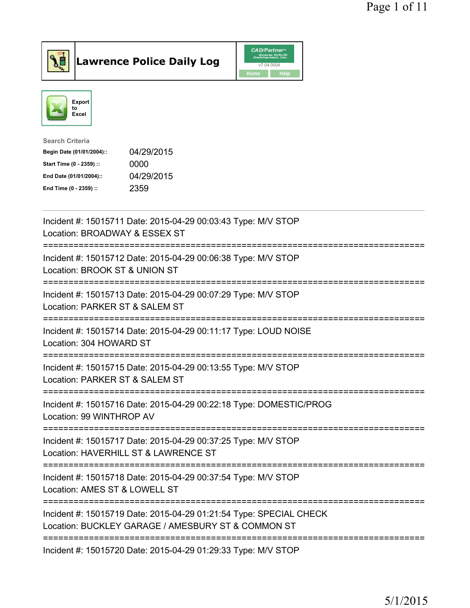



| <b>Search Criteria</b>    |            |
|---------------------------|------------|
| Begin Date (01/01/2004):: | 04/29/2015 |
| Start Time (0 - 2359) ::  | 0000       |
| End Date (01/01/2004)::   | 04/29/2015 |
| End Time (0 - 2359) ::    | 2359       |

| Incident #: 15015711 Date: 2015-04-29 00:03:43 Type: M/V STOP<br>Location: BROADWAY & ESSEX ST                                                       |
|------------------------------------------------------------------------------------------------------------------------------------------------------|
| Incident #: 15015712 Date: 2015-04-29 00:06:38 Type: M/V STOP<br>Location: BROOK ST & UNION ST                                                       |
| Incident #: 15015713 Date: 2015-04-29 00:07:29 Type: M/V STOP<br>Location: PARKER ST & SALEM ST                                                      |
| Incident #: 15015714 Date: 2015-04-29 00:11:17 Type: LOUD NOISE<br>Location: 304 HOWARD ST                                                           |
| Incident #: 15015715 Date: 2015-04-29 00:13:55 Type: M/V STOP<br>Location: PARKER ST & SALEM ST                                                      |
| Incident #: 15015716 Date: 2015-04-29 00:22:18 Type: DOMESTIC/PROG<br>Location: 99 WINTHROP AV<br>=====================================              |
| Incident #: 15015717 Date: 2015-04-29 00:37:25 Type: M/V STOP<br>Location: HAVERHILL ST & LAWRENCE ST<br>===========================                 |
| Incident #: 15015718 Date: 2015-04-29 00:37:54 Type: M/V STOP<br>Location: AMES ST & LOWELL ST                                                       |
| ========================<br>Incident #: 15015719 Date: 2015-04-29 01:21:54 Type: SPECIAL CHECK<br>Location: BUCKLEY GARAGE / AMESBURY ST & COMMON ST |
| Incident #: 15015720 Date: 2015-04-29 01:29:33 Type: M/V STOP                                                                                        |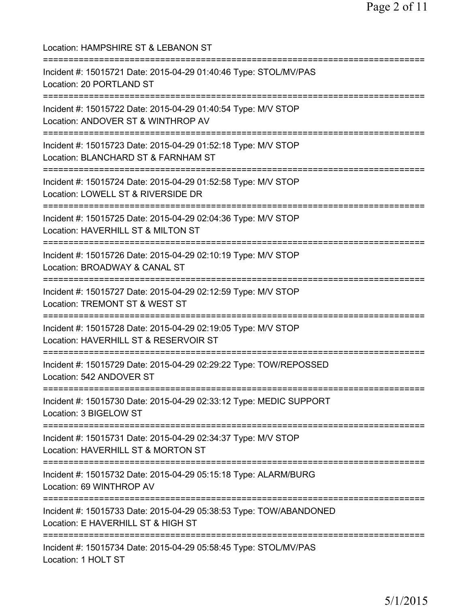Location: HAMPSHIRE ST & LEBANON ST =========================================================================== Incident #: 15015721 Date: 2015-04-29 01:40:46 Type: STOL/MV/PAS Location: 20 PORTLAND ST =========================================================================== Incident #: 15015722 Date: 2015-04-29 01:40:54 Type: M/V STOP Location: ANDOVER ST & WINTHROP AV =========================================================================== Incident #: 15015723 Date: 2015-04-29 01:52:18 Type: M/V STOP Location: BLANCHARD ST & FARNHAM ST =========================================================================== Incident #: 15015724 Date: 2015-04-29 01:52:58 Type: M/V STOP Location: LOWELL ST & RIVERSIDE DR =========================================================================== Incident #: 15015725 Date: 2015-04-29 02:04:36 Type: M/V STOP Location: HAVERHILL ST & MILTON ST =========================================================================== Incident #: 15015726 Date: 2015-04-29 02:10:19 Type: M/V STOP Location: BROADWAY & CANAL ST =========================================================================== Incident #: 15015727 Date: 2015-04-29 02:12:59 Type: M/V STOP Location: TREMONT ST & WEST ST =========================================================================== Incident #: 15015728 Date: 2015-04-29 02:19:05 Type: M/V STOP Location: HAVERHILL ST & RESERVOIR ST =========================================================================== Incident #: 15015729 Date: 2015-04-29 02:29:22 Type: TOW/REPOSSED Location: 542 ANDOVER ST =========================================================================== Incident #: 15015730 Date: 2015-04-29 02:33:12 Type: MEDIC SUPPORT Location: 3 BIGELOW ST =========================================================================== Incident #: 15015731 Date: 2015-04-29 02:34:37 Type: M/V STOP Location: HAVERHILL ST & MORTON ST =========================================================================== Incident #: 15015732 Date: 2015-04-29 05:15:18 Type: ALARM/BURG Location: 69 WINTHROP AV =========================================================================== Incident #: 15015733 Date: 2015-04-29 05:38:53 Type: TOW/ABANDONED Location: E HAVERHILL ST & HIGH ST =========================================================================== Incident #: 15015734 Date: 2015-04-29 05:58:45 Type: STOL/MV/PAS Location: 1 HOLT ST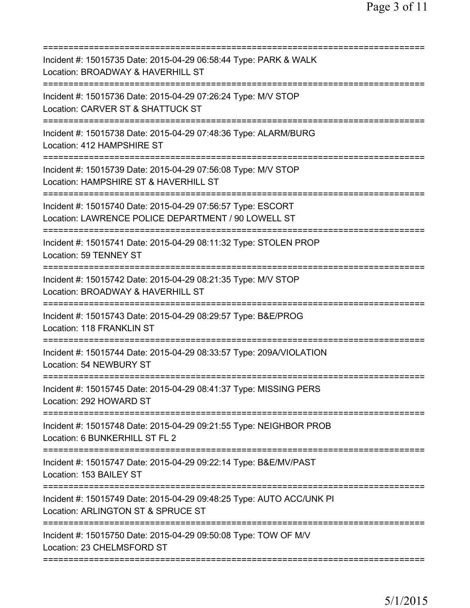| Incident #: 15015735 Date: 2015-04-29 06:58:44 Type: PARK & WALK<br>Location: BROADWAY & HAVERHILL ST<br>=======================                   |
|----------------------------------------------------------------------------------------------------------------------------------------------------|
| Incident #: 15015736 Date: 2015-04-29 07:26:24 Type: M/V STOP<br>Location: CARVER ST & SHATTUCK ST                                                 |
| Incident #: 15015738 Date: 2015-04-29 07:48:36 Type: ALARM/BURG<br>Location: 412 HAMPSHIRE ST                                                      |
| Incident #: 15015739 Date: 2015-04-29 07:56:08 Type: M/V STOP<br>Location: HAMPSHIRE ST & HAVERHILL ST                                             |
| Incident #: 15015740 Date: 2015-04-29 07:56:57 Type: ESCORT<br>Location: LAWRENCE POLICE DEPARTMENT / 90 LOWELL ST                                 |
| Incident #: 15015741 Date: 2015-04-29 08:11:32 Type: STOLEN PROP<br>Location: 59 TENNEY ST                                                         |
| Incident #: 15015742 Date: 2015-04-29 08:21:35 Type: M/V STOP<br>Location: BROADWAY & HAVERHILL ST<br>=============================<br>:========== |
| Incident #: 15015743 Date: 2015-04-29 08:29:57 Type: B&E/PROG<br>Location: 118 FRANKLIN ST                                                         |
| Incident #: 15015744 Date: 2015-04-29 08:33:57 Type: 209A/VIOLATION<br>Location: 54 NEWBURY ST                                                     |
| Incident #: 15015745 Date: 2015-04-29 08:41:37 Type: MISSING PERS<br>Location: 292 HOWARD ST                                                       |
| Incident #: 15015748 Date: 2015-04-29 09:21:55 Type: NEIGHBOR PROB<br>Location: 6 BUNKERHILL ST FL 2                                               |
| Incident #: 15015747 Date: 2015-04-29 09:22:14 Type: B&E/MV/PAST<br>Location: 153 BAILEY ST                                                        |
| Incident #: 15015749 Date: 2015-04-29 09:48:25 Type: AUTO ACC/UNK PI<br>Location: ARLINGTON ST & SPRUCE ST                                         |
| ==============================<br>Incident #: 15015750 Date: 2015-04-29 09:50:08 Type: TOW OF M/V<br>Location: 23 CHELMSFORD ST                    |
|                                                                                                                                                    |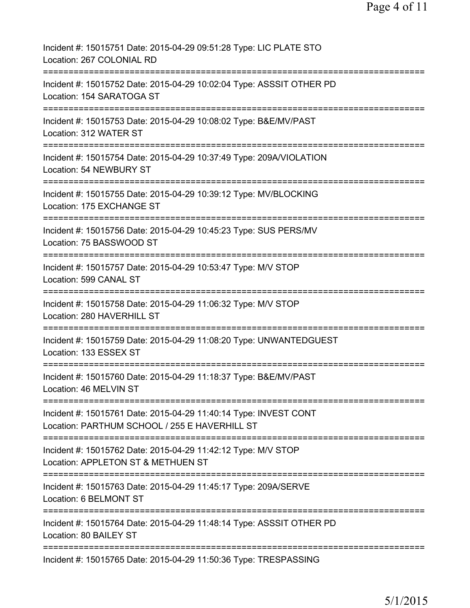| Incident #: 15015751 Date: 2015-04-29 09:51:28 Type: LIC PLATE STO<br>Location: 267 COLONIAL RD                   |
|-------------------------------------------------------------------------------------------------------------------|
| Incident #: 15015752 Date: 2015-04-29 10:02:04 Type: ASSSIT OTHER PD<br>Location: 154 SARATOGA ST                 |
| Incident #: 15015753 Date: 2015-04-29 10:08:02 Type: B&E/MV/PAST<br>Location: 312 WATER ST                        |
| Incident #: 15015754 Date: 2015-04-29 10:37:49 Type: 209A/VIOLATION<br>Location: 54 NEWBURY ST                    |
| Incident #: 15015755 Date: 2015-04-29 10:39:12 Type: MV/BLOCKING<br>Location: 175 EXCHANGE ST                     |
| Incident #: 15015756 Date: 2015-04-29 10:45:23 Type: SUS PERS/MV<br>Location: 75 BASSWOOD ST                      |
| Incident #: 15015757 Date: 2015-04-29 10:53:47 Type: M/V STOP<br>Location: 599 CANAL ST                           |
| Incident #: 15015758 Date: 2015-04-29 11:06:32 Type: M/V STOP<br>Location: 280 HAVERHILL ST                       |
| Incident #: 15015759 Date: 2015-04-29 11:08:20 Type: UNWANTEDGUEST<br>Location: 133 ESSEX ST                      |
| Incident #: 15015760 Date: 2015-04-29 11:18:37 Type: B&E/MV/PAST<br>Location: 46 MELVIN ST                        |
| Incident #: 15015761 Date: 2015-04-29 11:40:14 Type: INVEST CONT<br>Location: PARTHUM SCHOOL / 255 E HAVERHILL ST |
| Incident #: 15015762 Date: 2015-04-29 11:42:12 Type: M/V STOP<br>Location: APPLETON ST & METHUEN ST               |
| Incident #: 15015763 Date: 2015-04-29 11:45:17 Type: 209A/SERVE<br>Location: 6 BELMONT ST                         |
| Incident #: 15015764 Date: 2015-04-29 11:48:14 Type: ASSSIT OTHER PD<br>Location: 80 BAILEY ST                    |
| Incident #: 15015765 Date: 2015-04-29 11:50:36 Type: TRESPASSING                                                  |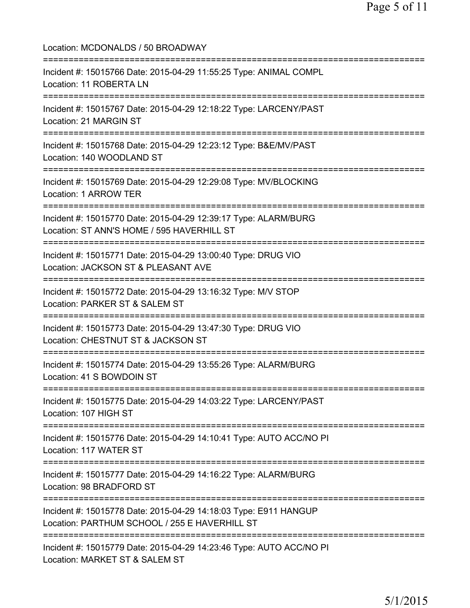Location: MCDONALDS / 50 BROADWAY =========================================================================== Incident #: 15015766 Date: 2015-04-29 11:55:25 Type: ANIMAL COMPL Location: 11 ROBERTA LN =========================================================================== Incident #: 15015767 Date: 2015-04-29 12:18:22 Type: LARCENY/PAST Location: 21 MARGIN ST =========================================================================== Incident #: 15015768 Date: 2015-04-29 12:23:12 Type: B&E/MV/PAST Location: 140 WOODLAND ST =========================================================================== Incident #: 15015769 Date: 2015-04-29 12:29:08 Type: MV/BLOCKING Location: 1 ARROW TER =========================================================================== Incident #: 15015770 Date: 2015-04-29 12:39:17 Type: ALARM/BURG Location: ST ANN'S HOME / 595 HAVERHILL ST =========================================================================== Incident #: 15015771 Date: 2015-04-29 13:00:40 Type: DRUG VIO Location: JACKSON ST & PLEASANT AVE =========================================================================== Incident #: 15015772 Date: 2015-04-29 13:16:32 Type: M/V STOP Location: PARKER ST & SALEM ST =========================================================================== Incident #: 15015773 Date: 2015-04-29 13:47:30 Type: DRUG VIO Location: CHESTNUT ST & JACKSON ST =========================================================================== Incident #: 15015774 Date: 2015-04-29 13:55:26 Type: ALARM/BURG Location: 41 S BOWDOIN ST =========================================================================== Incident #: 15015775 Date: 2015-04-29 14:03:22 Type: LARCENY/PAST Location: 107 HIGH ST =========================================================================== Incident #: 15015776 Date: 2015-04-29 14:10:41 Type: AUTO ACC/NO PI Location: 117 WATER ST =========================================================================== Incident #: 15015777 Date: 2015-04-29 14:16:22 Type: ALARM/BURG Location: 98 BRADFORD ST =========================================================================== Incident #: 15015778 Date: 2015-04-29 14:18:03 Type: E911 HANGUP Location: PARTHUM SCHOOL / 255 E HAVERHILL ST =========================================================================== Incident #: 15015779 Date: 2015-04-29 14:23:46 Type: AUTO ACC/NO PI Location: MARKET ST & SALEM ST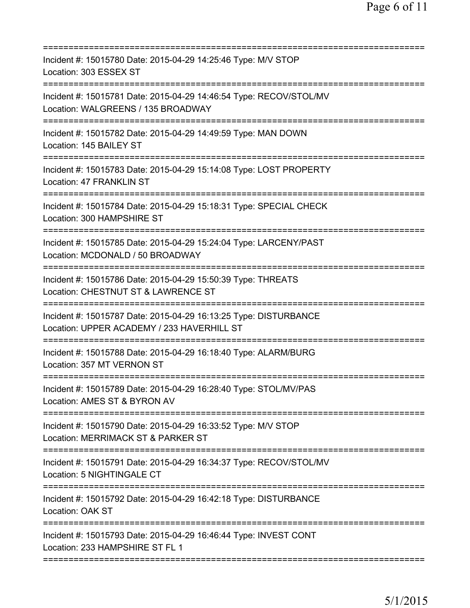| Incident #: 15015780 Date: 2015-04-29 14:25:46 Type: M/V STOP<br>Location: 303 ESSEX ST                                                                                       |
|-------------------------------------------------------------------------------------------------------------------------------------------------------------------------------|
| Incident #: 15015781 Date: 2015-04-29 14:46:54 Type: RECOV/STOL/MV<br>Location: WALGREENS / 135 BROADWAY<br>================================<br>----------------------------- |
| Incident #: 15015782 Date: 2015-04-29 14:49:59 Type: MAN DOWN<br>Location: 145 BAILEY ST                                                                                      |
| Incident #: 15015783 Date: 2015-04-29 15:14:08 Type: LOST PROPERTY<br>Location: 47 FRANKLIN ST                                                                                |
| Incident #: 15015784 Date: 2015-04-29 15:18:31 Type: SPECIAL CHECK<br>Location: 300 HAMPSHIRE ST                                                                              |
| Incident #: 15015785 Date: 2015-04-29 15:24:04 Type: LARCENY/PAST<br>Location: MCDONALD / 50 BROADWAY<br>=========================                                            |
| Incident #: 15015786 Date: 2015-04-29 15:50:39 Type: THREATS<br>Location: CHESTNUT ST & LAWRENCE ST<br>================================                                       |
| Incident #: 15015787 Date: 2015-04-29 16:13:25 Type: DISTURBANCE<br>Location: UPPER ACADEMY / 233 HAVERHILL ST<br>==============================                              |
| Incident #: 15015788 Date: 2015-04-29 16:18:40 Type: ALARM/BURG<br>Location: 357 MT VERNON ST                                                                                 |
| Incident #: 15015789 Date: 2015-04-29 16:28:40 Type: STOL/MV/PAS<br>Location: AMES ST & BYRON AV                                                                              |
| :====================================<br>Incident #: 15015790 Date: 2015-04-29 16:33:52 Type: M/V STOP<br>Location: MERRIMACK ST & PARKER ST                                  |
| Incident #: 15015791 Date: 2015-04-29 16:34:37 Type: RECOV/STOL/MV<br>Location: 5 NIGHTINGALE CT                                                                              |
| Incident #: 15015792 Date: 2015-04-29 16:42:18 Type: DISTURBANCE<br>Location: OAK ST                                                                                          |
| Incident #: 15015793 Date: 2015-04-29 16:46:44 Type: INVEST CONT<br>Location: 233 HAMPSHIRE ST FL 1                                                                           |
|                                                                                                                                                                               |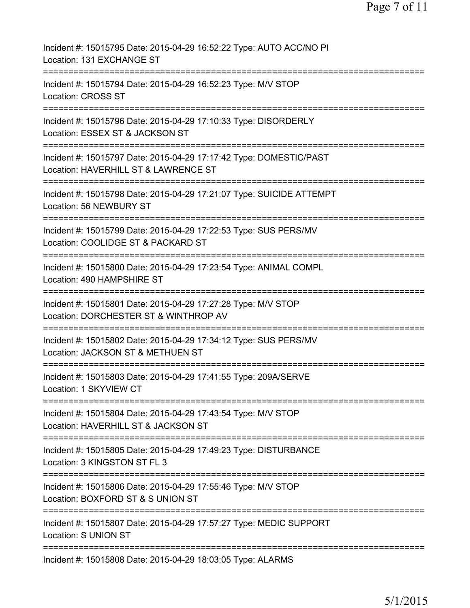| Incident #: 15015795 Date: 2015-04-29 16:52:22 Type: AUTO ACC/NO PI<br>Location: 131 EXCHANGE ST                                     |
|--------------------------------------------------------------------------------------------------------------------------------------|
| Incident #: 15015794 Date: 2015-04-29 16:52:23 Type: M/V STOP<br>Location: CROSS ST                                                  |
| Incident #: 15015796 Date: 2015-04-29 17:10:33 Type: DISORDERLY<br>Location: ESSEX ST & JACKSON ST                                   |
| Incident #: 15015797 Date: 2015-04-29 17:17:42 Type: DOMESTIC/PAST<br>Location: HAVERHILL ST & LAWRENCE ST                           |
| ==========================<br>Incident #: 15015798 Date: 2015-04-29 17:21:07 Type: SUICIDE ATTEMPT<br>Location: 56 NEWBURY ST        |
| Incident #: 15015799 Date: 2015-04-29 17:22:53 Type: SUS PERS/MV<br>Location: COOLIDGE ST & PACKARD ST                               |
| Incident #: 15015800 Date: 2015-04-29 17:23:54 Type: ANIMAL COMPL<br>Location: 490 HAMPSHIRE ST                                      |
| Incident #: 15015801 Date: 2015-04-29 17:27:28 Type: M/V STOP<br>Location: DORCHESTER ST & WINTHROP AV                               |
| Incident #: 15015802 Date: 2015-04-29 17:34:12 Type: SUS PERS/MV<br>Location: JACKSON ST & METHUEN ST                                |
| Incident #: 15015803 Date: 2015-04-29 17:41:55 Type: 209A/SERVE<br>Location: 1 SKYVIEW CT                                            |
| ============================<br>Incident #: 15015804 Date: 2015-04-29 17:43:54 Type: M/V STOP<br>Location: HAVERHILL ST & JACKSON ST |
| Incident #: 15015805 Date: 2015-04-29 17:49:23 Type: DISTURBANCE<br>Location: 3 KINGSTON ST FL 3                                     |
| Incident #: 15015806 Date: 2015-04-29 17:55:46 Type: M/V STOP<br>Location: BOXFORD ST & S UNION ST                                   |
| ============================<br>Incident #: 15015807 Date: 2015-04-29 17:57:27 Type: MEDIC SUPPORT<br>Location: S UNION ST           |
| Incident #: 15015808 Date: 2015-04-29 18:03:05 Type: ALARMS                                                                          |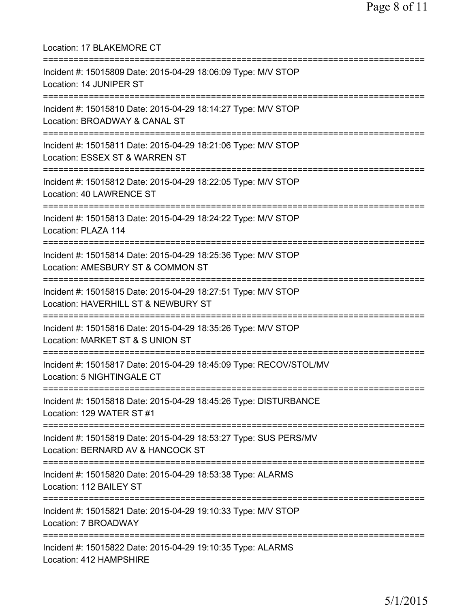| Location: 17 BLAKEMORE CT<br>===========================                                                                                  |
|-------------------------------------------------------------------------------------------------------------------------------------------|
| Incident #: 15015809 Date: 2015-04-29 18:06:09 Type: M/V STOP<br>Location: 14 JUNIPER ST<br>===============================               |
| Incident #: 15015810 Date: 2015-04-29 18:14:27 Type: M/V STOP<br>Location: BROADWAY & CANAL ST<br>=================================       |
| Incident #: 15015811 Date: 2015-04-29 18:21:06 Type: M/V STOP<br>Location: ESSEX ST & WARREN ST                                           |
| Incident #: 15015812 Date: 2015-04-29 18:22:05 Type: M/V STOP<br>Location: 40 LAWRENCE ST                                                 |
| Incident #: 15015813 Date: 2015-04-29 18:24:22 Type: M/V STOP<br>Location: PLAZA 114                                                      |
| Incident #: 15015814 Date: 2015-04-29 18:25:36 Type: M/V STOP<br>Location: AMESBURY ST & COMMON ST<br>================================    |
| Incident #: 15015815 Date: 2015-04-29 18:27:51 Type: M/V STOP<br>Location: HAVERHILL ST & NEWBURY ST                                      |
| Incident #: 15015816 Date: 2015-04-29 18:35:26 Type: M/V STOP<br>Location: MARKET ST & S UNION ST                                         |
| Incident #: 15015817 Date: 2015-04-29 18:45:09 Type: RECOV/STOL/MV<br>Location: 5 NIGHTINGALE CT<br>===================================== |
| Incident #: 15015818 Date: 2015-04-29 18:45:26 Type: DISTURBANCE<br>Location: 129 WATER ST #1                                             |
| Incident #: 15015819 Date: 2015-04-29 18:53:27 Type: SUS PERS/MV<br>Location: BERNARD AV & HANCOCK ST                                     |
| Incident #: 15015820 Date: 2015-04-29 18:53:38 Type: ALARMS<br>Location: 112 BAILEY ST                                                    |
| Incident #: 15015821 Date: 2015-04-29 19:10:33 Type: M/V STOP<br>Location: 7 BROADWAY                                                     |
| Incident #: 15015822 Date: 2015-04-29 19:10:35 Type: ALARMS<br>Location: 412 HAMPSHIRE                                                    |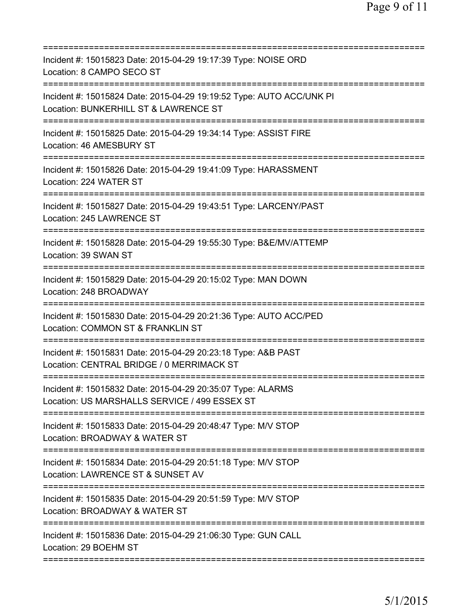| :========================                                                                                     |
|---------------------------------------------------------------------------------------------------------------|
| Incident #: 15015823 Date: 2015-04-29 19:17:39 Type: NOISE ORD<br>Location: 8 CAMPO SECO ST                   |
| Incident #: 15015824 Date: 2015-04-29 19:19:52 Type: AUTO ACC/UNK PI<br>Location: BUNKERHILL ST & LAWRENCE ST |
| Incident #: 15015825 Date: 2015-04-29 19:34:14 Type: ASSIST FIRE<br>Location: 46 AMESBURY ST                  |
| Incident #: 15015826 Date: 2015-04-29 19:41:09 Type: HARASSMENT<br>Location: 224 WATER ST                     |
| Incident #: 15015827 Date: 2015-04-29 19:43:51 Type: LARCENY/PAST<br>Location: 245 LAWRENCE ST                |
| Incident #: 15015828 Date: 2015-04-29 19:55:30 Type: B&E/MV/ATTEMP<br>Location: 39 SWAN ST                    |
| Incident #: 15015829 Date: 2015-04-29 20:15:02 Type: MAN DOWN<br>Location: 248 BROADWAY                       |
| Incident #: 15015830 Date: 2015-04-29 20:21:36 Type: AUTO ACC/PED<br>Location: COMMON ST & FRANKLIN ST        |
| Incident #: 15015831 Date: 2015-04-29 20:23:18 Type: A&B PAST<br>Location: CENTRAL BRIDGE / 0 MERRIMACK ST    |
| Incident #: 15015832 Date: 2015-04-29 20:35:07 Type: ALARMS<br>Location: US MARSHALLS SERVICE / 499 ESSEX ST  |
| Incident #: 15015833 Date: 2015-04-29 20:48:47 Type: M/V STOP<br>Location: BROADWAY & WATER ST                |
| Incident #: 15015834 Date: 2015-04-29 20:51:18 Type: M/V STOP<br>Location: LAWRENCE ST & SUNSET AV            |
| Incident #: 15015835 Date: 2015-04-29 20:51:59 Type: M/V STOP<br>Location: BROADWAY & WATER ST                |
| Incident #: 15015836 Date: 2015-04-29 21:06:30 Type: GUN CALL<br>Location: 29 BOEHM ST                        |
|                                                                                                               |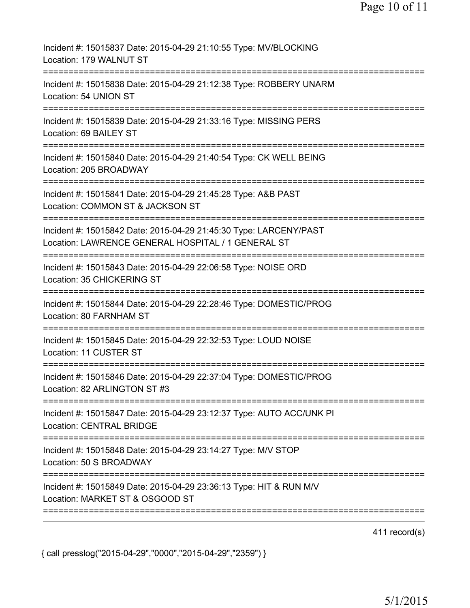| Incident #: 15015837 Date: 2015-04-29 21:10:55 Type: MV/BLOCKING<br>Location: 179 WALNUT ST                                                                       |
|-------------------------------------------------------------------------------------------------------------------------------------------------------------------|
| Incident #: 15015838 Date: 2015-04-29 21:12:38 Type: ROBBERY UNARM<br>Location: 54 UNION ST                                                                       |
| Incident #: 15015839 Date: 2015-04-29 21:33:16 Type: MISSING PERS<br>Location: 69 BAILEY ST                                                                       |
| Incident #: 15015840 Date: 2015-04-29 21:40:54 Type: CK WELL BEING<br>Location: 205 BROADWAY                                                                      |
| Incident #: 15015841 Date: 2015-04-29 21:45:28 Type: A&B PAST<br>Location: COMMON ST & JACKSON ST<br>========================                                     |
| Incident #: 15015842 Date: 2015-04-29 21:45:30 Type: LARCENY/PAST<br>Location: LAWRENCE GENERAL HOSPITAL / 1 GENERAL ST<br>====================================== |
| Incident #: 15015843 Date: 2015-04-29 22:06:58 Type: NOISE ORD<br>Location: 35 CHICKERING ST<br>======================================                            |
| Incident #: 15015844 Date: 2015-04-29 22:28:46 Type: DOMESTIC/PROG<br>Location: 80 FARNHAM ST                                                                     |
| Incident #: 15015845 Date: 2015-04-29 22:32:53 Type: LOUD NOISE<br>Location: 11 CUSTER ST                                                                         |
| Incident #: 15015846 Date: 2015-04-29 22:37:04 Type: DOMESTIC/PROG<br>Location: 82 ARLINGTON ST #3                                                                |
| Incident #: 15015847 Date: 2015-04-29 23:12:37 Type: AUTO ACC/UNK PI<br>Location: CENTRAL BRIDGE                                                                  |
| Incident #: 15015848 Date: 2015-04-29 23:14:27 Type: M/V STOP<br>Location: 50 S BROADWAY                                                                          |
| Incident #: 15015849 Date: 2015-04-29 23:36:13 Type: HIT & RUN M/V<br>Location: MARKET ST & OSGOOD ST                                                             |
|                                                                                                                                                                   |

411 record(s)

{ call presslog("2015-04-29","0000","2015-04-29","2359") }